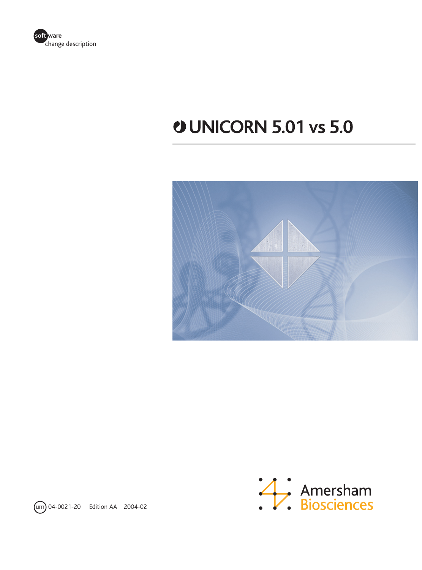

## **UNICORN 5.01 vs 5.0**





um 04-0021-20 Edition AA 2004-02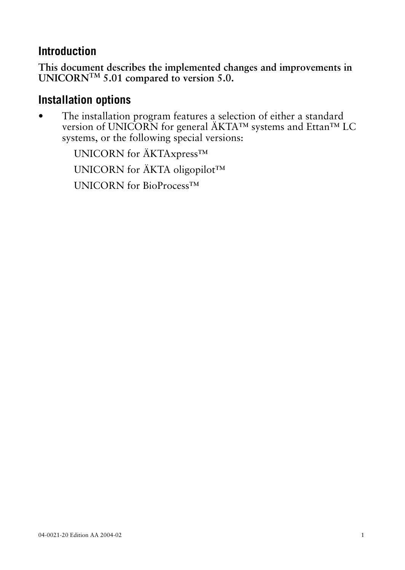## **Introduction**

**This document describes the implemented changes and improvements in UNICORNTM 5.01 compared to version 5.0.**

## **Installation options**

The installation program features a selection of either a standard version of UNICORN for general ÄKTA™ systems and Ettan™ LC systems, or the following special versions:

> UNICORN for ÄKTAxpress™ UNICORN for ÄKTA oligopilot™ UNICORN for BioProcess™